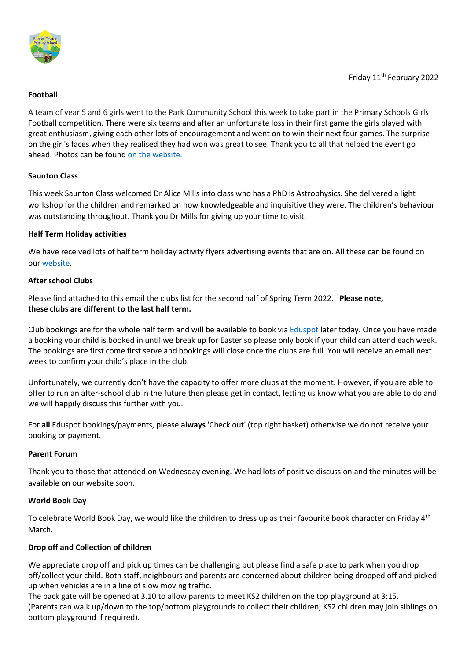

## **Football**

A team of year 5 and 6 girls went to the Park Community School this week to take part in the Primary Schools Girls Football competition. There were six teams and after an unfortunate loss in their first game the girls played with great enthusiasm, giving each other lots of encouragement and went on to win their next four games. The surprise on the girl's faces when they realised they had won was great to see. Thank you to all that helped the event go ahead. Photos can be found on the [website.](https://bishops-tawton.eschools.co.uk/web/football_february_2022/595351)

### **Saunton Class**

This week Saunton Class welcomed Dr Alice Mills into class who has a PhD is Astrophysics. She delivered a light workshop for the children and remarked on how knowledgeable and inquisitive they were. The children's behaviour was outstanding throughout. Thank you Dr Mills for giving up your time to visit.

### **Half Term Holiday activities**

We have received lots of half term holiday activity flyers advertising events that are on. All these can be found on our [website.](https://bishops-tawton.eschools.co.uk/web/half_term_activities/595818)

### **After school Clubs**

Please find attached to this email the clubs list for the second half of Spring Term 2022. **Please note, these clubs are different to the last half term.**

Club bookings are for the whole half term and will be available to book via [Eduspot](https://eduspot.co.uk/) later today. Once you have made a booking your child is booked in until we break up for Easter so please only book if your child can attend each week. The bookings are first come first serve and bookings will close once the clubs are full. You will receive an email next week to confirm your child's place in the club.

Unfortunately, we currently don't have the capacity to offer more clubs at the moment. However, if you are able to offer to run an after-school club in the future then please get in contact, letting us know what you are able to do and we will happily discuss this further with you.

For **all** Eduspot bookings/payments, please **always** 'Check out' (top right basket) otherwise we do not receive your booking or payment.

#### **Parent Forum**

Thank you to those that attended on Wednesday evening. We had lots of positive discussion and the minutes will be available on our website soon.

## **World Book Day**

To celebrate World Book Day, we would like the children to dress up as their favourite book character on Friday 4<sup>th</sup> March.

## **Drop off and Collection of children**

We appreciate drop off and pick up times can be challenging but please find a safe place to park when you drop off/collect your child. Both staff, neighbours and parents are concerned about children being dropped off and picked up when vehicles are in a line of slow moving traffic.

The back gate will be opened at 3.10 to allow parents to meet KS2 children on the top playground at 3:15. (Parents can walk up/down to the top/bottom playgrounds to collect their children, KS2 children may join siblings on bottom playground if required).